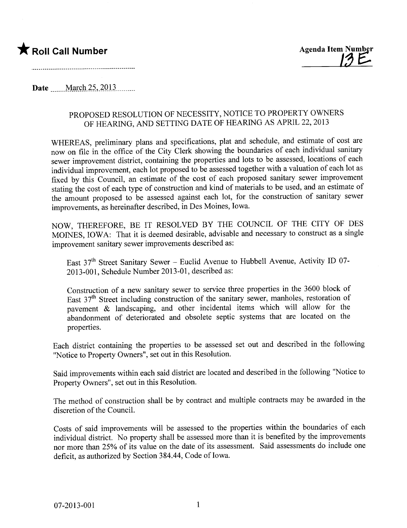

Date March 25, 2013

## PROPOSED RESOLUTION OF NECESSITY, NOTICE TO PROPERTY OWNERS OF HEARING, AND SETTING DATE OF HEARING AS APRIL 22, 2013

WHEREAS, preliminary plans and specifications, plat and schedule, and estimate of cost are now on fie in the office of the City Clerk showing the boundaries of each individual sanitar sewer improvement district, containing the properties and lots to be assessed, locations of each individual improvement, each lot proposed to be assessed together with a valuation of each lot as fixed by this Council, an estimate of the cost of each proposed sanitary sewer improvement stating the cost of each type of construction and kind of materials to be used, and an estimate of the amount proposed to be assessed against each lot, for the construction of sanitary sewer improvements, as hereinafter described, in Des Moines, Iowa.

NOW, THEREFORE, BE IT RESOLVED BY THE COUNCIL OF THE CITY OF DES MOINES, IOWA: That it is deemed desirable, advisable and necessary to construct as a single improvement sanitary sewer improvements described as:

East  $37<sup>th</sup>$  Street Sanitary Sewer – Euclid Avenue to Hubbell Avenue, Activity ID 07-2013-001, Schedule Number 2013-01, described as:

Construction of a new sanitary sewer to service three properties in the 3600 block of East  $37<sup>th</sup>$  Street including construction of the sanitary sewer, manholes, restoration of pavement  $\&$  landscaping, and other incidental items which will allow for the abandonment of deteriorated and obsolete septic systems that are located on the properties.

Each district containing the properties to be assessed set out and described in the following "Notice to Property Owners", set out in this Resolution.

Said improvements within each said district are located and described in the following "Notice to Property Owners", set out in this Resolution.

The method of construction shall be by contract and multiple contracts may be awarded in the discretion of the CounciL.

Costs of said improvements wil be assessed to the properties within the boundaries of each individual district. No property shall be assessed more than it is benefited by the improvements nor more than 25% of its value on the date of its assessment. Said assessments do include one deficit, as authorized by Section 384.44, Code of Iowa.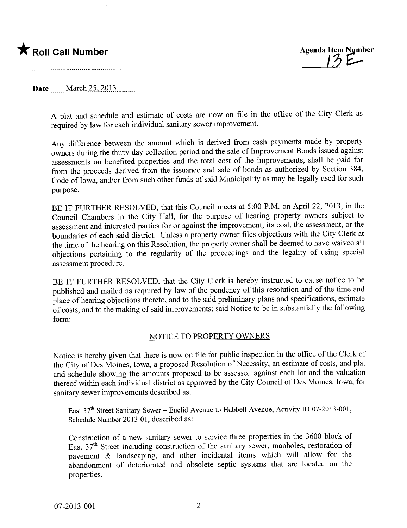## \* Roll Call Number Agenda Item Number

| <u>1</u>

## Date March 25, 2013

A plat and schedule and estimate of costs are now on file in the office of the City Clerk as required by law for each individual sanitary sewer improvement.

Any difference between the amount which is derived from cash payments made by property owners during the thirty day collection period and the sale of Improvement Bonds issued against assessments on benefited properties and the total cost of the improvements, shall be paid for from the proceeds derived from the issuance and sale of bonds as authorized by Section 384, Code of Iowa, and/or from such other funds of said Municipality as may be legally used for such purpose.

BE IT FURTHER RESOLVED, that this Council meets at 5:00 P.M. on April 22, 2013, in the Council Chambers in the City Hall, for the purpose of hearing property owners subject to assessment and interested paries for or against the improvement, its cost, the assessment, or the boundaries of each said district. Unless a property owner fies objections with the City Clerk at the time of the hearing on this Resolution, the property owner shall be deemed to have waived all objections pertaining to the regularity of the proceedings and the legality of using special assessment procedure.

BE IT FURTHER RESOLVED, that the City Clerk is hereby instructed to cause notice to be published and mailed as required by law of the pendency of this resolution and of the time and place of hearing objections thereto, and to the said preliminary plans and specifications, estimate of costs, and to the making of said improvements; said Notice to be in substantially the following form:

## NOTICE TO PROPERTY OWNERS

Notice is hereby given that there is now on file for public inspection in the office of the Clerk of the City of Des Moines, Iowa, a proposed Resolution of Necessity, an estimate of costs, and plat and schedule showing the amounts proposed to be assessed against each lot and the valuation thereof within each individual district as approved by the City Council of Des Moines, Iowa, for sanitary sewer improvements described as:

East  $37<sup>th</sup>$  Street Sanitary Sewer – Euclid Avenue to Hubbell Avenue, Activity ID 07-2013-001, Schedule Number 2013-01, described as:

Construction of a new sanitary sewer to service three properties in the 3600 block of East 37<sup>th</sup> Street including construction of the sanitary sewer, manholes, restoration of pavement  $\&$  landscaping, and other incidental items which will allow for the abandonment of deteriorated and obsolete septic systems that are located on the properties.